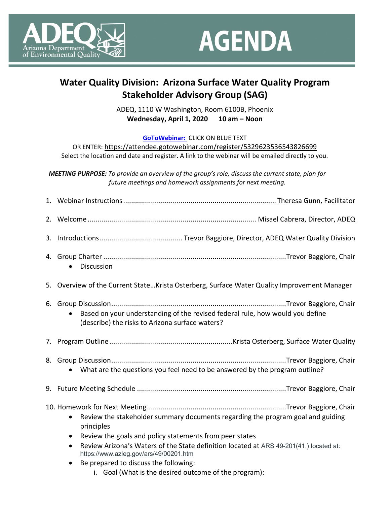



## **Water Quality Division: Arizona Surface Water Quality Program Stakeholder Advisory Group (SAG)**

ADEQ, 1110 W Washington, Room 6100B, Phoenix **[Wednesday, April 1, 2020](https://attendee.gotowebinar.com/register/5329623536543826699) 10 am – Noon**

**[GoToWebinar:](https://attendee.gotowebinar.com/register/5329623536543826699)** CLICK ON BLUE TEXT

OR ENTER:<https://attendee.gotowebinar.com/register/5329623536543826699>

Select the location and date and register. A link to the webinar will be emailed directly to you.

*MEETING PURPOSE: To provide an overview of the group's role, discuss the current state, plan for future meetings and homework assignments for next meeting.*

| Discussion<br>$\bullet$                                                                                                                                                                                                                                                                                                |
|------------------------------------------------------------------------------------------------------------------------------------------------------------------------------------------------------------------------------------------------------------------------------------------------------------------------|
| 5. Overview of the Current StateKrista Osterberg, Surface Water Quality Improvement Manager                                                                                                                                                                                                                            |
| Based on your understanding of the revised federal rule, how would you define<br>(describe) the risks to Arizona surface waters?                                                                                                                                                                                       |
|                                                                                                                                                                                                                                                                                                                        |
| What are the questions you feel need to be answered by the program outline?                                                                                                                                                                                                                                            |
|                                                                                                                                                                                                                                                                                                                        |
| Review the stakeholder summary documents regarding the program goal and guiding<br>$\bullet$<br>principles<br>Review the goals and policy statements from peer states<br>$\bullet$<br>Review Arizona's Waters of the State definition located at ARS 49-201(41.) located at:<br>https://www.azleg.gov/ars/49/00201.htm |
| Be prepared to discuss the following:<br>i. Goal (What is the desired outcome of the program):                                                                                                                                                                                                                         |